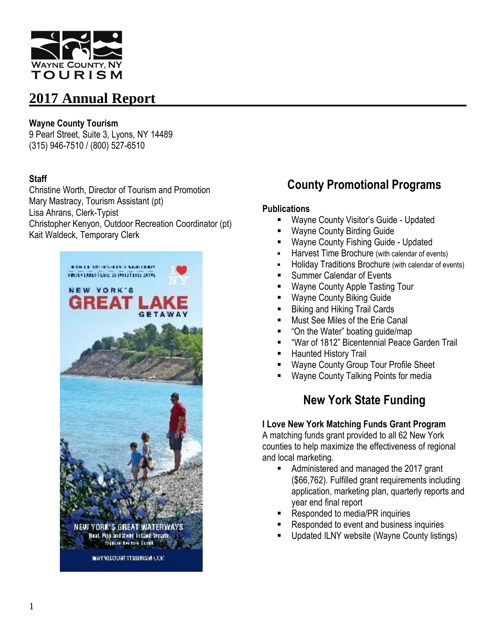

#### **Wayne County Tourism**

9 Pearl Street, Suite 3, Lyons, NY 14489 (315) 946-7510 / (800) 527-6510

#### **Staff**

Christine Worth, Director of Tourism and Promotion Mary Mastracy, Tourism Assistant (pt) Lisa Ahrans, Clerk-Typist Christopher Kenyon, Outdoor Recreation Coordinator (pt) Kait Waldeck, Temporary Clerk



# **County Promotional Programs**

#### **Publications**

- **Wayne County Visitor's Guide Updated**
- Wayne County Birding Guide
- Wayne County Fishing Guide Updated
- **Harvest Time Brochure (with calendar of events)**
- Holiday Traditions Brochure (with calendar of events)
- Summer Calendar of Events
- Wayne County Apple Tasting Tour
- Wayne County Biking Guide
- **Biking and Hiking Trail Cards**
- **Must See Miles of the Erie Canal**
- "On the Water" boating guide/map
- "War of 1812" Bicentennial Peace Garden Trail
- Haunted History Trail
- Wayne County Group Tour Profile Sheet
- Wayne County Talking Points for media

# **New York State Funding**

#### **I Love New York Matching Funds Grant Program**

A matching funds grant provided to all 62 New York counties to help maximize the effectiveness of regional and local marketing.

- Administered and managed the 2017 grant (\$66,762). Fulfilled grant requirements including application, marketing plan, quarterly reports and year end final report
- Responded to media/PR inquiries
- Responded to event and business inquiries
- Updated ILNY website (Wayne County listings)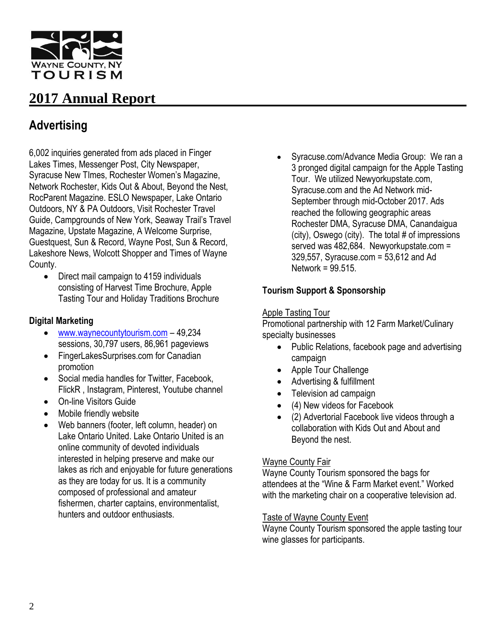

# **Advertising**

6,002 inquiries generated from ads placed in Finger Lakes Times, Messenger Post, City Newspaper, Syracuse New TImes, Rochester Women's Magazine, Network Rochester, Kids Out & About, Beyond the Nest, RocParent Magazine. ESLO Newspaper, Lake Ontario Outdoors, NY & PA Outdoors, Visit Rochester Travel Guide, Campgrounds of New York, Seaway Trail's Travel Magazine, Upstate Magazine, A Welcome Surprise, Guestquest, Sun & Record, Wayne Post, Sun & Record, Lakeshore News, Wolcott Shopper and Times of Wayne County.

• Direct mail campaign to 4159 individuals consisting of Harvest Time Brochure, Apple Tasting Tour and Holiday Traditions Brochure

#### **Digital Marketing**

- [www.waynecountytourism.com](http://www.waynecountytourism.com/) 49,234 sessions, 30,797 users, 86,961 pageviews
- FingerLakesSurprises.com for Canadian promotion
- Social media handles for Twitter, Facebook, FlickR , Instagram, Pinterest, Youtube channel
- On-line Visitors Guide
- Mobile friendly website
- Web banners (footer, left column, header) on Lake Ontario United. Lake Ontario United is an online community of devoted individuals interested in helping preserve and make our lakes as rich and enjoyable for future generations as they are today for us. It is a community composed of professional and amateur fishermen, charter captains, environmentalist, hunters and outdoor enthusiasts.

 Syracuse.com/Advance Media Group: We ran a 3 pronged digital campaign for the Apple Tasting Tour. We utilized Newyorkupstate.com, Syracuse.com and the Ad Network mid-September through mid-October 2017. Ads reached the following geographic areas Rochester DMA, Syracuse DMA, Canandaigua (city), Oswego (city). The total # of impressions served was 482,684. Newyorkupstate.com = 329,557, Syracuse.com = 53,612 and Ad Network =  $99.515$ .

## **Tourism Support & Sponsorship**

#### Apple Tasting Tour

Promotional partnership with 12 Farm Market/Culinary specialty businesses

- Public Relations, facebook page and advertising campaign
- Apple Tour Challenge
- Advertising & fulfillment
- Television ad campaign
- (4) New videos for Facebook
- (2) Advertorial Facebook live videos through a collaboration with Kids Out and About and Beyond the nest.

#### Wayne County Fair

Wayne County Tourism sponsored the bags for attendees at the "Wine & Farm Market event." Worked with the marketing chair on a cooperative television ad.

#### Taste of Wayne County Event

Wayne County Tourism sponsored the apple tasting tour wine glasses for participants.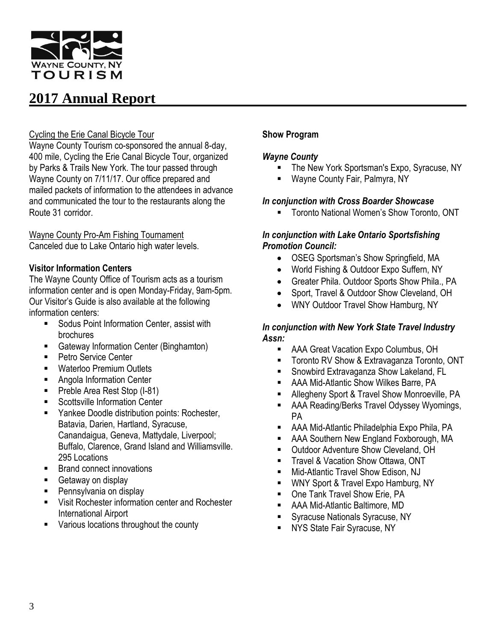

#### Cycling the Erie Canal Bicycle Tour

Wayne County Tourism co-sponsored the annual 8-day, 400 mile, Cycling the Erie Canal Bicycle Tour, organized by Parks & Trails New York. The tour passed through Wayne County on 7/11/17. Our office prepared and mailed packets of information to the attendees in advance and communicated the tour to the restaurants along the Route 31 corridor.

## Wayne County Pro-Am Fishing Tournament

Canceled due to Lake Ontario high water levels.

#### **Visitor Information Centers**

The Wayne County Office of Tourism acts as a tourism information center and is open Monday-Friday, 9am-5pm. Our Visitor's Guide is also available at the following information centers:

- Sodus Point Information Center, assist with brochures
- Gateway Information Center (Binghamton)
- Petro Service Center
- Waterloo Premium Outlets
- **Angola Information Center**
- **Preble Area Rest Stop (I-81)**
- Scottsville Information Center
- Yankee Doodle distribution points: Rochester, Batavia, Darien, Hartland, Syracuse, Canandaigua, Geneva, Mattydale, Liverpool; Buffalo, Clarence, Grand Island and Williamsville. 295 Locations
- Brand connect innovations
- Getaway on display
- Pennsylvania on display
- Visit Rochester information center and Rochester International Airport
- Various locations throughout the county

#### **Show Program**

#### *Wayne County*

- The New York Sportsman's Expo, Syracuse, NY
- Wayne County Fair, Palmyra, NY

#### *In conjunction with Cross Boarder Showcase*

Toronto National Women's Show Toronto, ONT

#### *In conjunction with Lake Ontario Sportsfishing Promotion Council:*

- OSEG Sportsman's Show Springfield, MA
- World Fishing & Outdoor Expo Suffern, NY
- Greater Phila. Outdoor Sports Show Phila., PA
- Sport, Travel & Outdoor Show Cleveland, OH
- WNY Outdoor Travel Show Hamburg, NY

#### *In conjunction with New York State Travel Industry Assn:*

- AAA Great Vacation Expo Columbus, OH
- **Toronto RV Show & Extravaganza Toronto, ONT**
- Snowbird Extravaganza Show Lakeland, FL
- AAA Mid-Atlantic Show Wilkes Barre, PA
- Allegheny Sport & Travel Show Monroeville, PA
- AAA Reading/Berks Travel Odyssey Wyomings, PA
- AAA Mid-Atlantic Philadelphia Expo Phila, PA
- AAA Southern New England Foxborough, MA
- **Dutdoor Adventure Show Cleveland, OH**
- **Travel & Vacation Show Ottawa, ONT**
- Mid-Atlantic Travel Show Edison, NJ
- **WINY Sport & Travel Expo Hamburg, NY**
- One Tank Travel Show Erie, PA
- AAA Mid-Atlantic Baltimore, MD
- **Syracuse Nationals Syracuse, NY**
- **NYS State Fair Syracuse, NY**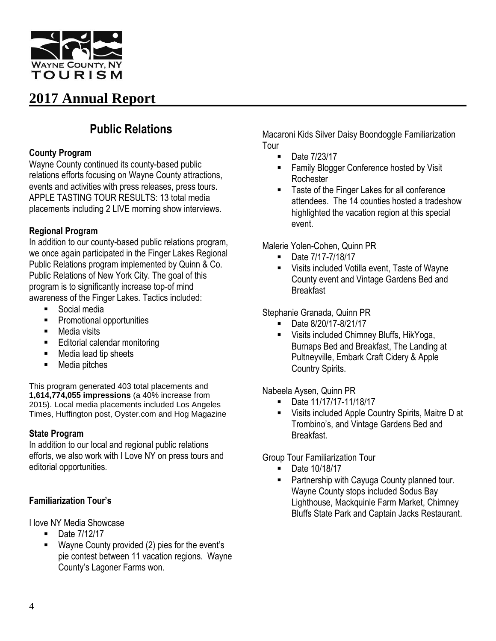

# **Public Relations**

#### **County Program**

Wayne County continued its county-based public relations efforts focusing on Wayne County attractions, events and activities with press releases, press tours. APPLE TASTING TOUR RESULTS: 13 total media placements including 2 LIVE morning show interviews.

## **Regional Program**

In addition to our county-based public relations program, we once again participated in the Finger Lakes Regional Public Relations program implemented by Quinn & Co. Public Relations of New York City. The goal of this program is to significantly increase top-of mind awareness of the Finger Lakes. Tactics included:

- **Social media**
- **Promotional opportunities**
- Media visits
- Editorial calendar monitoring
- Media lead tip sheets
- Media pitches

This program generated 403 total placements and **1,614,774,055 impressions** (a 40% increase from 2015). Local media placements included Los Angeles Times, Huffington post, Oyster.com and Hog Magazine

## **State Program**

In addition to our local and regional public relations efforts, we also work with I Love NY on press tours and editorial opportunities.

## **Familiarization Tour's**

I love NY Media Showcase

- Date 7/12/17
- Wayne County provided (2) pies for the event's pie contest between 11 vacation regions. Wayne County's Lagoner Farms won.

Macaroni Kids Silver Daisy Boondoggle Familiarization Tour

- Date 7/23/17
- **Family Blogger Conference hosted by Visit Rochester**
- Taste of the Finger Lakes for all conference attendees. The 14 counties hosted a tradeshow highlighted the vacation region at this special event.

Malerie [Yolen-Cohen,](https://www.huffingtonpost.com/author/malerie-yolencohen) Quinn PR

- Date 7/17-7/18/17
- Visits included Votilla event, Taste of Wayne County event and Vintage Gardens Bed and **Breakfast**

## Stephanie Granada, Quinn PR

- Date 8/20/17-8/21/17
- Visits included Chimney Bluffs, HikYoga, Burnaps Bed and Breakfast, The Landing at Pultneyville, Embark Craft Cidery & Apple Country Spirits.

Nabeela Aysen, Quinn PR

- Date 11/17/17-11/18/17
- Visits included Apple Country Spirits, Maitre D at Trombino's, and Vintage Gardens Bed and **Breakfast**

Group Tour Familiarization Tour

- Date 10/18/17
- Partnership with Cayuga County planned tour. Wayne County stops included Sodus Bay Lighthouse, Mackquinle Farm Market, Chimney Bluffs State Park and Captain Jacks Restaurant.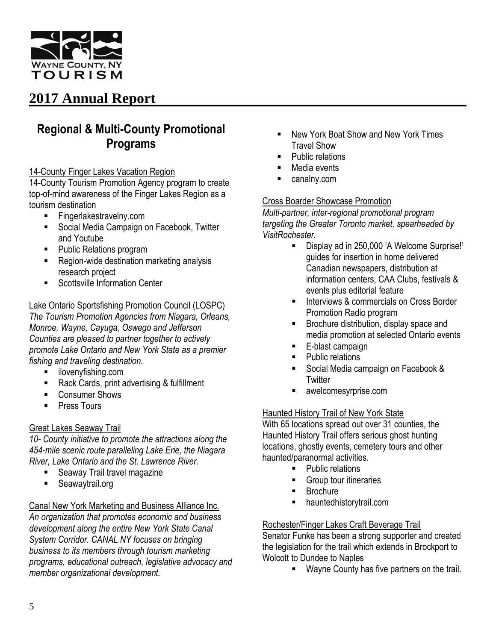

# **Regional & Multi-County Promotional Programs**

#### 14-County Finger Lakes Vacation Region

14-County Tourism Promotion Agency program to create top-of-mind awareness of the Finger Lakes Region as a tourism destination

- Fingerlakestravelny.com
- Social Media Campaign on Facebook, Twitter and Youtube
- Public Relations program
- Region-wide destination marketing analysis research project
- Scottsville Information Center

## Lake Ontario Sportsfishing Promotion Council (LOSPC)

*The Tourism Promotion Agencies from Niagara, Orleans, Monroe, Wayne, Cayuga, Oswego and Jefferson Counties are pleased to partner together to actively promote Lake Ontario and New York State as a premier fishing and traveling destination.*

- **i** ilovenyfishing.com
- Rack Cards, print advertising & fulfillment
- Consumer Shows
- **Press Tours**

## Great Lakes Seaway Trail

*10- County initiative to promote the attractions along the 454-mile scenic route paralleling Lake Erie, the Niagara River, Lake Ontario and the St. Lawrence River.*

- **Seaway Trail travel magazine**
- Seawaytrail.org

#### Canal New York Marketing and Business Alliance Inc. *An organization that promotes economic and business development along the entire New York State Canal System Corridor. CANAL NY focuses on bringing business to its members through tourism marketing programs, educational outreach, legislative advocacy and member organizational development.*

- **New York Boat Show and New York Times** Travel Show
- Public relations
- Media events
- canalny.com

#### Cross Boarder Showcase Promotion

*Multi-partner, inter-regional promotional program targeting the Greater Toronto market, spearheaded by VisitRochester.*

- Display ad in 250,000 'A Welcome Surprise!' guides for insertion in home delivered Canadian newspapers, distribution at information centers, CAA Clubs, festivals & events plus editorial feature
- Interviews & commercials on Cross Border Promotion Radio program
- Brochure distribution, display space and media promotion at selected Ontario events
- E-blast campaign
- Public relations
- Social Media campaign on Facebook & **Twitter**
- awelcomesyrprise.com

## Haunted History Trail of New York State

With 65 locations spread out over 31 counties, the Haunted History Trail offers serious ghost hunting locations, ghostly events, cemetery tours and other haunted/paranormal activities.

- Public relations
- **Group tour itineraries**
- Brochure
- hauntedhistorytrail.com

## Rochester/Finger Lakes Craft Beverage Trail

Senator Funke has been a strong supporter and created the legislation for the trail which extends in Brockport to Wolcott to Dundee to Naples

**Wayne County has five partners on the trail.**